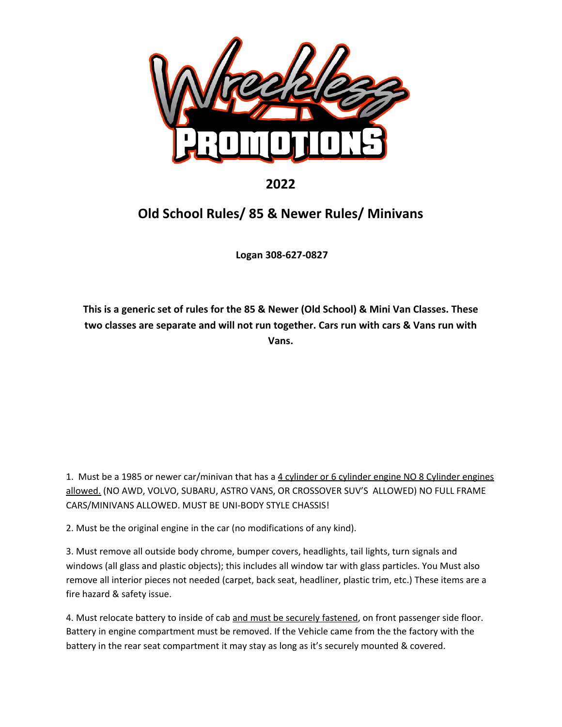

## **2022**

## **Old School Rules/ 85 & Newer Rules/ Minivans**

 **Logan 308-627-0827** 

**This is a generic set of rules for the 85 & Newer (Old School) & Mini Van Classes. These two classes are separate and will not run together. Cars run with cars & Vans run with Vans.** 

1. Must be a 1985 or newer car/minivan that has a 4 cylinder or 6 cylinder engine NO 8 Cylinder engines allowed. (NO AWD, VOLVO, SUBARU, ASTRO VANS, OR CROSSOVER SUV'S ALLOWED) NO FULL FRAME CARS/MINIVANS ALLOWED. MUST BE UNI-BODY STYLE CHASSIS!

2. Must be the original engine in the car (no modifications of any kind).

3. Must remove all outside body chrome, bumper covers, headlights, tail lights, turn signals and windows (all glass and plastic objects); this includes all window tar with glass particles. You Must also remove all interior pieces not needed (carpet, back seat, headliner, plastic trim, etc.) These items are a fire hazard & safety issue.

4. Must relocate battery to inside of cab and must be securely fastened, on front passenger side floor. Battery in engine compartment must be removed. If the Vehicle came from the the factory with the battery in the rear seat compartment it may stay as long as it's securely mounted & covered.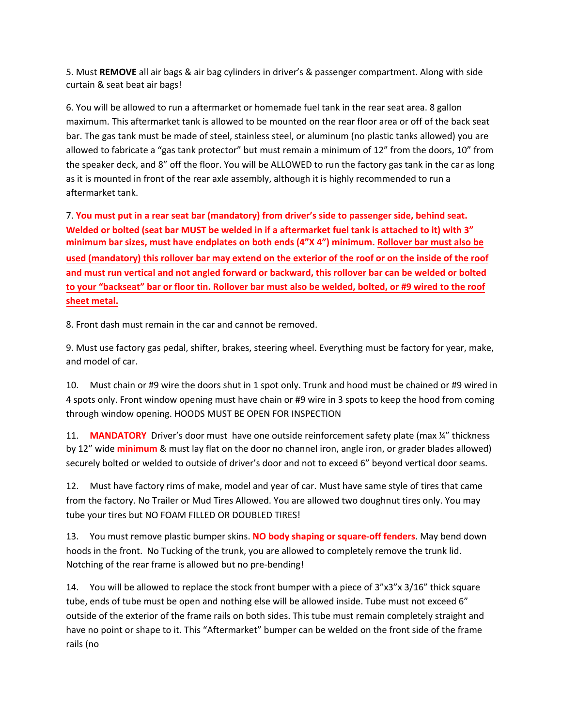5. Must **REMOVE** all air bags & air bag cylinders in driver's & passenger compartment. Along with side curtain & seat beat air bags!

6. You will be allowed to run a aftermarket or homemade fuel tank in the rear seat area. 8 gallon maximum. This aftermarket tank is allowed to be mounted on the rear floor area or off of the back seat bar. The gas tank must be made of steel, stainless steel, or aluminum (no plastic tanks allowed) you are allowed to fabricate a "gas tank protector" but must remain a minimum of 12" from the doors, 10" from the speaker deck, and 8" off the floor. You will be ALLOWED to run the factory gas tank in the car as long as it is mounted in front of the rear axle assembly, although it is highly recommended to run a aftermarket tank.

7. **You must put in a rear seat bar (mandatory) from driver's side to passenger side, behind seat. Welded or bolted (seat bar MUST be welded in if a aftermarket fuel tank is attached to it) with 3" minimum bar sizes, must have endplates on both ends (4"X 4") minimum. Rollover bar must also be used (mandatory) this rollover bar may extend on the exterior of the roof or on the inside of the roof and must run vertical and not angled forward or backward, this rollover bar can be welded or bolted to your "backseat" bar or floor tin. Rollover bar must also be welded, bolted, or #9 wired to the roof sheet metal.**

8. Front dash must remain in the car and cannot be removed.

9. Must use factory gas pedal, shifter, brakes, steering wheel. Everything must be factory for year, make, and model of car.

10. Must chain or #9 wire the doors shut in 1 spot only. Trunk and hood must be chained or #9 wired in 4 spots only. Front window opening must have chain or #9 wire in 3 spots to keep the hood from coming through window opening. HOODS MUST BE OPEN FOR INSPECTION

11. **MANDATORY** Driver's door must have one outside reinforcement safety plate (max ¼" thickness by 12" wide **minimum** & must lay flat on the door no channel iron, angle iron, or grader blades allowed) securely bolted or welded to outside of driver's door and not to exceed 6" beyond vertical door seams.

12. Must have factory rims of make, model and year of car. Must have same style of tires that came from the factory. No Trailer or Mud Tires Allowed. You are allowed two doughnut tires only. You may tube your tires but NO FOAM FILLED OR DOUBLED TIRES!

13. You must remove plastic bumper skins. **NO body shaping or square-off fenders**. May bend down hoods in the front. No Tucking of the trunk, you are allowed to completely remove the trunk lid. Notching of the rear frame is allowed but no pre-bending!

14. You will be allowed to replace the stock front bumper with a piece of 3"x3"x 3/16" thick square tube, ends of tube must be open and nothing else will be allowed inside. Tube must not exceed 6" outside of the exterior of the frame rails on both sides. This tube must remain completely straight and have no point or shape to it. This "Aftermarket" bumper can be welded on the front side of the frame rails (no